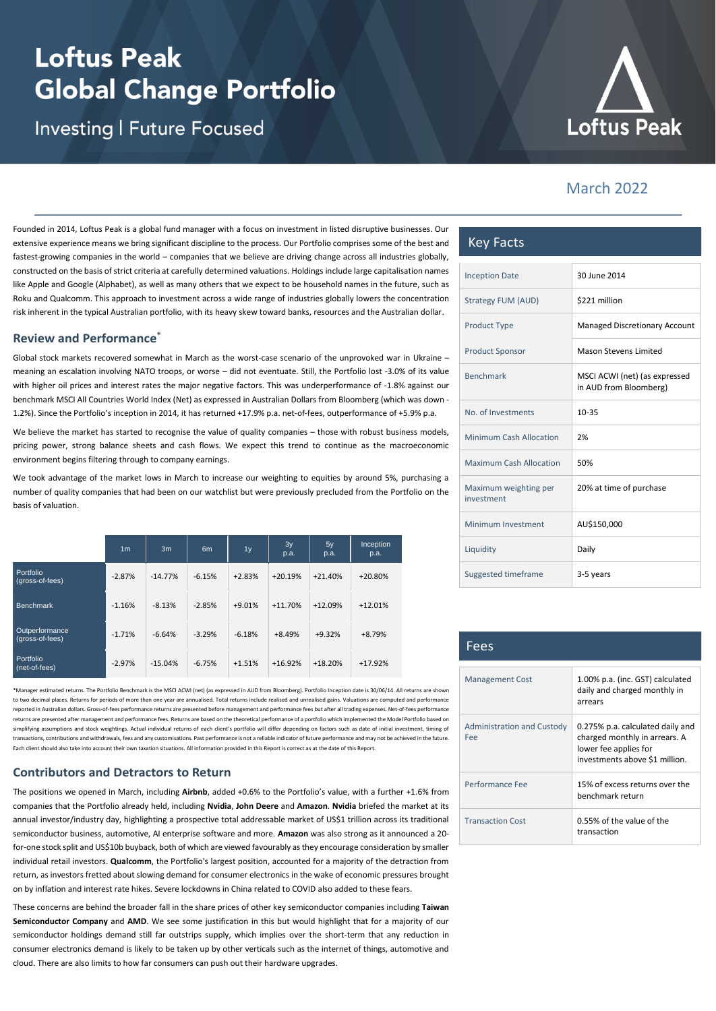# **Loftus Peak Global Change Portfolio**

**Investing | Future Focused** 



# March 2022

Founded in 2014, Loftus Peak is a global fund manager with a focus on investment in listed disruptive businesses. Our extensive experience means we bring significant discipline to the process. Our Portfolio comprises some of the best and fastest-growing companies in the world – companies that we believe are driving change across all industries globally, constructed on the basis of strict criteria at carefully determined valuations. Holdings include large capitalisation names like Apple and Google (Alphabet), as well as many others that we expect to be household names in the future, such as Roku and Qualcomm. This approach to investment across a wide range of industries globally lowers the concentration risk inherent in the typical Australian portfolio, with its heavy skew toward banks, resources and the Australian dollar.

#### **Review and Performance\***

Global stock markets recovered somewhat in March as the worst-case scenario of the unprovoked war in Ukraine – meaning an escalation involving NATO troops, or worse – did not eventuate. Still, the Portfolio lost -3.0% of its value with higher oil prices and interest rates the major negative factors. This was underperformance of -1.8% against our benchmark MSCI All Countries World Index (Net) as expressed in Australian Dollars from Bloomberg (which was down - 1.2%). Since the Portfolio's inception in 2014, it has returned +17.9% p.a. net-of-fees, outperformance of +5.9% p.a.

We believe the market has started to recognise the value of quality companies – those with robust business models, pricing power, strong balance sheets and cash flows. We expect this trend to continue as the macroeconomic environment begins filtering through to company earnings.

We took advantage of the market lows in March to increase our weighting to equities by around 5%, purchasing a number of quality companies that had been on our watchlist but were previously precluded from the Portfolio on the basis of valuation.

|                                   | 1 <sub>m</sub> | 3m        | 6m       | 1y       | 3y<br>p.a. | 5y<br>p.a. | Inception<br>p.a. |
|-----------------------------------|----------------|-----------|----------|----------|------------|------------|-------------------|
| Portfolio<br>(gross-of-fees)      | $-2.87%$       | $-14.77%$ | $-6.15%$ | $+2.83%$ | $+20.19%$  | $+21.40%$  | $+20.80%$         |
| <b>Benchmark</b>                  | $-1.16%$       | $-8.13%$  | $-2.85%$ | $+9.01%$ | $+11.70%$  | +12.09%    | $+12.01%$         |
| Outperformance<br>(gross-of-fees) | $-1.71%$       | $-6.64%$  | $-3.29%$ | $-6.18%$ | $+8.49%$   | $+9.32%$   | $+8.79%$          |
| Portfolio<br>(net-of-fees)        | $-2.97%$       | $-15.04%$ | $-6.75%$ | $+1.51%$ | $+16.92%$  | +18.20%    | $+17.92%$         |

ted returns. The Portfolio Benchmark is the MSCI ACWI (net) (as expressed in AUD from Bloomberg). Portfolio Inception date is 30/06/14. All returns are shown to two decimal places. Returns for periods of more than one year are annualised. Total returns include realised and unrealised gains. Valuations are computed and performance reported in Australian dollars. Gross-of-fees performance returns are presented before management and performance fees but after all trading expenses. Net-of-fees performance returns are presented after management and performance fees. Returns are based on the theoretical performance of a portfolio which implemented the Model Portfolio based on simplifying assumptions and stock weightings. Actual individual returns of each client's portfolio will differ depending on factors such as date of initial investment, timing of transactions, contributions and withdrawals, fees and any customisations. Past performance is not a reliable indicator of future performance and may not be achieved in the future. Each client should also take into account their own taxation situations. All information provided in this Report is correct as at the date of this Report.

### **Contributors and Detractors to Return**

The positions we opened in March, including **Airbnb**, added +0.6% to the Portfolio's value, with a further +1.6% from companies that the Portfolio already held, including **Nvidia**, **John Deere** and **Amazon**. **Nvidia** briefed the market at its annual investor/industry day, highlighting a prospective total addressable market of US\$1 trillion across its traditional semiconductor business, automotive, AI enterprise software and more. **Amazon** was also strong as it announced a 20 for-one stock split and US\$10b buyback, both of which are viewed favourably as they encourage consideration by smaller individual retail investors. **Qualcomm**, the Portfolio's largest position, accounted for a majority of the detraction from return, as investors fretted about slowing demand for consumer electronics in the wake of economic pressures brought on by inflation and interest rate hikes. Severe lockdowns in China related to COVID also added to these fears.

These concerns are behind the broader fall in the share prices of other key semiconductor companies including **Taiwan Semiconductor Company** and **AMD**. We see some justification in this but would highlight that for a majority of our semiconductor holdings demand still far outstrips supply, which implies over the short-term that any reduction in consumer electronics demand is likely to be taken up by other verticals such as the internet of things, automotive and cloud. There are also limits to how far consumers can push out their hardware upgrades.

|  | <b>Key Facts</b> |
|--|------------------|
|--|------------------|

| <b>Inception Date</b>               | 30 June 2014                                            |
|-------------------------------------|---------------------------------------------------------|
| Strategy FUM (AUD)                  | \$221 million                                           |
| <b>Product Type</b>                 | <b>Managed Discretionary Account</b>                    |
| <b>Product Sponsor</b>              | <b>Mason Stevens Limited</b>                            |
| <b>Benchmark</b>                    | MSCI ACWI (net) (as expressed<br>in AUD from Bloomberg) |
| No. of Investments                  | $10 - 35$                                               |
| <b>Minimum Cash Allocation</b>      | 2%                                                      |
| <b>Maximum Cash Allocation</b>      | 50%                                                     |
| Maximum weighting per<br>investment | 20% at time of purchase                                 |
| Minimum Investment                  | AU\$150,000                                             |
| Liquidity                           | Daily                                                   |
| Suggested timeframe                 | 3-5 years                                               |

| Fees                                     |                                                                                                                              |
|------------------------------------------|------------------------------------------------------------------------------------------------------------------------------|
| <b>Management Cost</b>                   | 1.00% p.a. (inc. GST) calculated<br>daily and charged monthly in<br>arrears                                                  |
| <b>Administration and Custody</b><br>Fee | 0.275% p.a. calculated daily and<br>charged monthly in arrears. A<br>lower fee applies for<br>investments above \$1 million. |
| Performance Fee                          | 15% of excess returns over the<br>benchmark return                                                                           |
| <b>Transaction Cost</b>                  | 0.55% of the value of the<br>transaction                                                                                     |